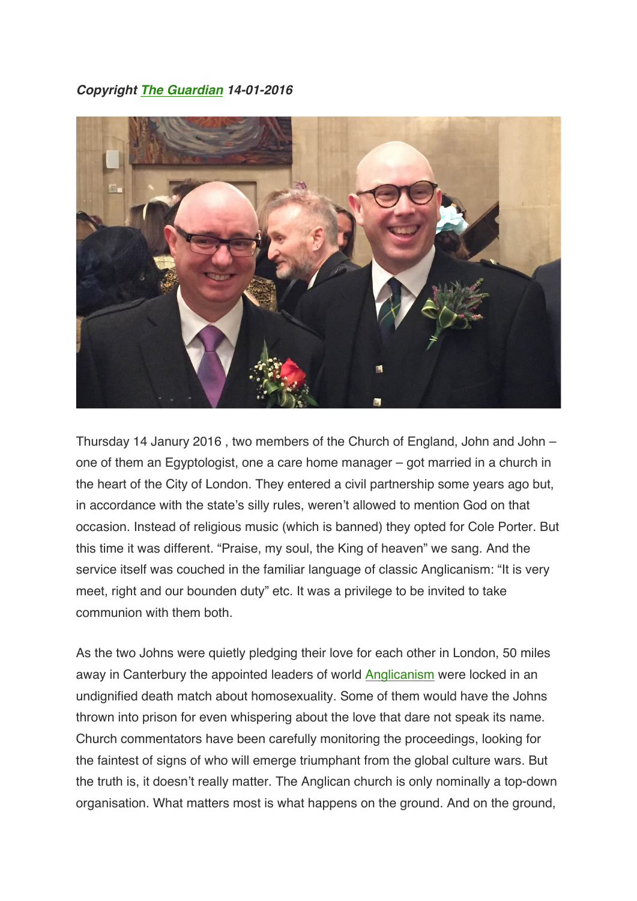*Copyright The Guardian 14-01-2016*



Thursday 14 Janury 2016 , two members of the Church of England, John and John – one of them an Egyptologist, one a care home manager – got married in a church in the heart of the City of London. They entered a civil partnership some years ago but, in accordance with the state's silly rules, weren't allowed to mention God on that occasion. Instead of religious music (which is banned) they opted for Cole Porter. But this time it was different. "Praise, my soul, the King of heaven" we sang. And the service itself was couched in the familiar language of classic Anglicanism: "It is very meet, right and our bounden duty" etc. It was a privilege to be invited to take communion with them both.

As the two Johns were quietly pledging their love for each other in London, 50 miles away in Canterbury the appointed leaders of world Anglicanism were locked in an undignified death match about homosexuality. Some of them would have the Johns thrown into prison for even whispering about the love that dare not speak its name. Church commentators have been carefully monitoring the proceedings, looking for the faintest of signs of who will emerge triumphant from the global culture wars. But the truth is, it doesn't really matter. The Anglican church is only nominally a top-down organisation. What matters most is what happens on the ground. And on the ground,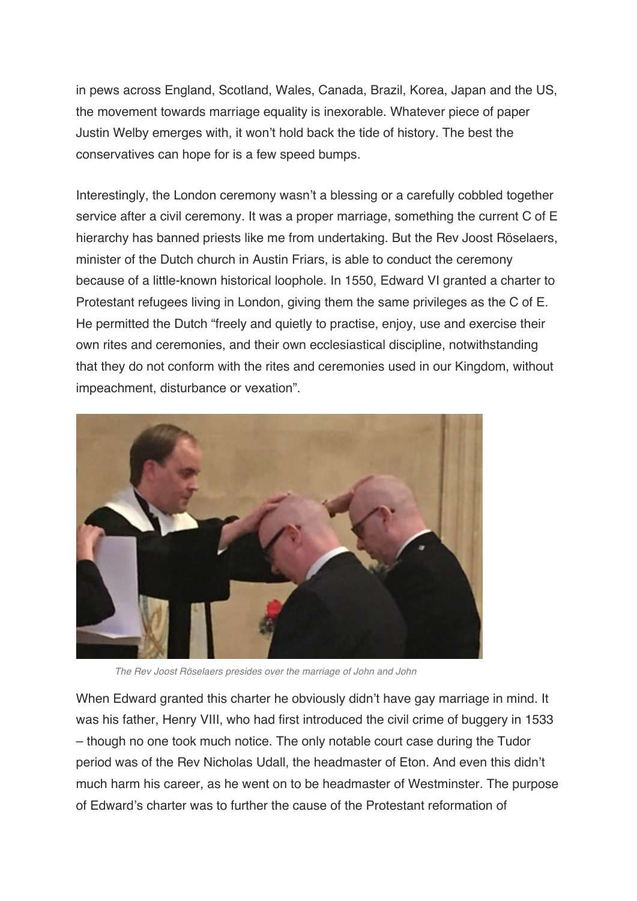in pews across England, Scotland, Wales, Canada, Brazil, Korea, Japan and the US, the movement towards marriage equality is inexorable. Whatever piece of paper Justin Welby emerges with, it won't hold back the tide of history. The best the conservatives can hope for is a few speed bumps.

Interestingly, the London ceremony wasn't a blessing or a carefully cobbled together service after a civil ceremony. It was a proper marriage, something the current C of E hierarchy has banned priests like me from undertaking. But the Rev Joost Röselaers, minister of the Dutch church in Austin Friars, is able to conduct the ceremony because of a little-known historical loophole. In 1550, Edward VI granted a charter to Protestant refugees living in London, giving them the same privileges as the C of E. He permitted the Dutch "freely and quietly to practise, enjoy, use and exercise their own rites and ceremonies, and their own ecclesiastical discipline, notwithstanding that they do not conform with the rites and ceremonies used in our Kingdom, without impeachment, disturbance or vexation".



*The Rev Joost Röselaers presides over the marriage of John and John*

When Edward granted this charter he obviously didn't have gay marriage in mind. It was his father, Henry VIII, who had first introduced the civil crime of buggery in 1533 – though no one took much notice. The only notable court case during the Tudor period was of the Rev Nicholas Udall, the headmaster of Eton. And even this didn't much harm his career, as he went on to be headmaster of Westminster. The purpose of Edward's charter was to further the cause of the Protestant reformation of